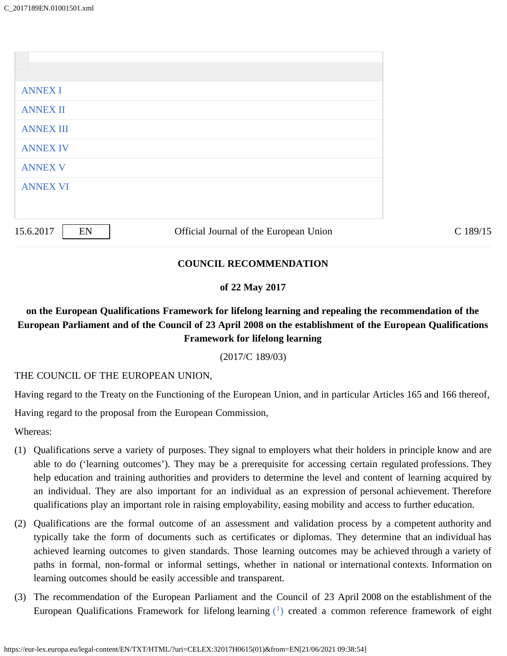| <b>ANNEX I</b><br><b>ANNEX II</b><br><b>ANNEX III</b><br><b>ANNEX IV</b><br><b>ANNEX V</b><br><b>ANNEX VI</b> | 15.6.2017<br>EN | Official Journal of the European Union | C 189/15 |
|---------------------------------------------------------------------------------------------------------------|-----------------|----------------------------------------|----------|
|                                                                                                               |                 |                                        |          |
|                                                                                                               |                 |                                        |          |
|                                                                                                               |                 |                                        |          |
|                                                                                                               |                 |                                        |          |
|                                                                                                               |                 |                                        |          |
|                                                                                                               |                 |                                        |          |
|                                                                                                               |                 |                                        |          |

### **COUNCIL RECOMMENDATION**

#### **of 22 May 2017**

# **on the European Qualifications Framework for lifelong learning and repealing the recommendation of the European Parliament and of the Council of 23 April 2008 on the establishment of the European Qualifications Framework for lifelong learning**

(2017/C 189/03)

THE COUNCIL OF THE EUROPEAN UNION,

Having regard to the Treaty on the Functioning of the European Union, and in particular Articles 165 and 166 thereof,

Having regard to the proposal from the European Commission,

Whereas:

- (1) Qualifications serve a variety of purposes. They signal to employers what their holders in principle know and are able to do ('learning outcomes'). They may be a prerequisite for accessing certain regulated professions. They help education and training authorities and providers to determine the level and content of learning acquired by an individual. They are also important for an individual as an expression of personal achievement. Therefore qualifications play an important role in raising employability, easing mobility and access to further education.
- (2) Qualifications are the formal outcome of an assessment and validation process by a competent authority and typically take the form of documents such as certificates or diplomas. They determine that an individual has achieved learning outcomes to given standards. Those learning outcomes may be achieved through a variety of paths in formal, non-formal or informal settings, whether in national or international contexts. Information on learning outcomes should be easily accessible and transparent.
- <span id="page-0-0"></span>(3) The recommendation of the European Parliament and the Council of 23 April 2008 on the establishment of the European Qualifications Framework for lifelong learning  $(1)$  $(1)$  created a common reference framework of eight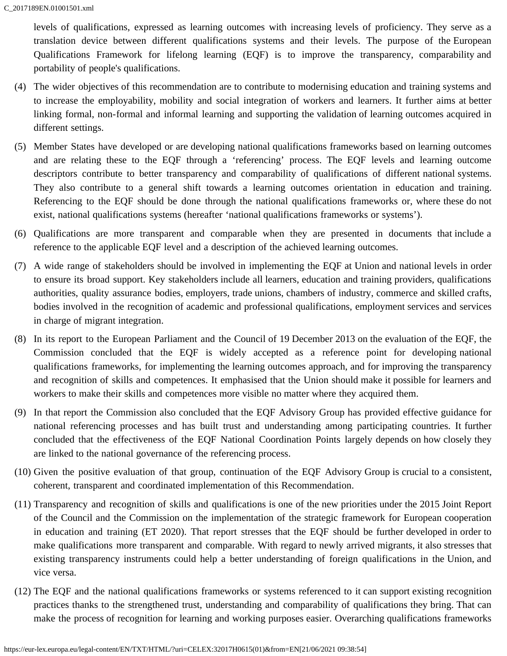levels of qualifications, expressed as learning outcomes with increasing levels of proficiency. They serve as a translation device between different qualifications systems and their levels. The purpose of the European Qualifications Framework for lifelong learning (EQF) is to improve the transparency, comparability and portability of people's qualifications.

- (4) The wider objectives of this recommendation are to contribute to modernising education and training systems and to increase the employability, mobility and social integration of workers and learners. It further aims at better linking formal, non-formal and informal learning and supporting the validation of learning outcomes acquired in different settings.
- (5) Member States have developed or are developing national qualifications frameworks based on learning outcomes and are relating these to the EQF through a 'referencing' process. The EQF levels and learning outcome descriptors contribute to better transparency and comparability of qualifications of different national systems. They also contribute to a general shift towards a learning outcomes orientation in education and training. Referencing to the EQF should be done through the national qualifications frameworks or, where these do not exist, national qualifications systems (hereafter 'national qualifications frameworks or systems').
- (6) Qualifications are more transparent and comparable when they are presented in documents that include a reference to the applicable EQF level and a description of the achieved learning outcomes.
- (7) A wide range of stakeholders should be involved in implementing the EQF at Union and national levels in order to ensure its broad support. Key stakeholders include all learners, education and training providers, qualifications authorities, quality assurance bodies, employers, trade unions, chambers of industry, commerce and skilled crafts, bodies involved in the recognition of academic and professional qualifications, employment services and services in charge of migrant integration.
- (8) In its report to the European Parliament and the Council of 19 December 2013 on the evaluation of the EQF, the Commission concluded that the EQF is widely accepted as a reference point for developing national qualifications frameworks, for implementing the learning outcomes approach, and for improving the transparency and recognition of skills and competences. It emphasised that the Union should make it possible for learners and workers to make their skills and competences more visible no matter where they acquired them.
- (9) In that report the Commission also concluded that the EQF Advisory Group has provided effective guidance for national referencing processes and has built trust and understanding among participating countries. It further concluded that the effectiveness of the EQF National Coordination Points largely depends on how closely they are linked to the national governance of the referencing process.
- (10) Given the positive evaluation of that group, continuation of the EQF Advisory Group is crucial to a consistent, coherent, transparent and coordinated implementation of this Recommendation.
- (11) Transparency and recognition of skills and qualifications is one of the new priorities under the 2015 Joint Report of the Council and the Commission on the implementation of the strategic framework for European cooperation in education and training (ET 2020). That report stresses that the EQF should be further developed in order to make qualifications more transparent and comparable. With regard to newly arrived migrants, it also stresses that existing transparency instruments could help a better understanding of foreign qualifications in the Union, and vice versa.
- (12) The EQF and the national qualifications frameworks or systems referenced to it can support existing recognition practices thanks to the strengthened trust, understanding and comparability of qualifications they bring. That can make the process of recognition for learning and working purposes easier. Overarching qualifications frameworks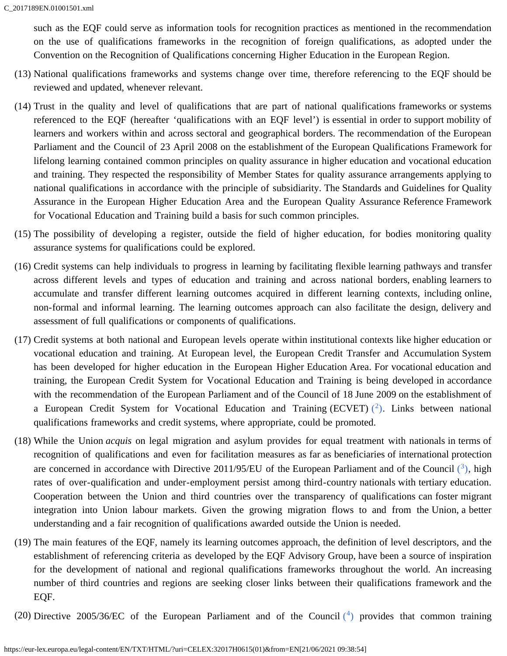such as the EQF could serve as information tools for recognition practices as mentioned in the recommendation on the use of qualifications frameworks in the recognition of foreign qualifications, as adopted under the Convention on the Recognition of Qualifications concerning Higher Education in the European Region.

- (13) National qualifications frameworks and systems change over time, therefore referencing to the EQF should be reviewed and updated, whenever relevant.
- (14) Trust in the quality and level of qualifications that are part of national qualifications frameworks or systems referenced to the EQF (hereafter 'qualifications with an EQF level') is essential in order to support mobility of learners and workers within and across sectoral and geographical borders. The recommendation of the European Parliament and the Council of 23 April 2008 on the establishment of the European Qualifications Framework for lifelong learning contained common principles on quality assurance in higher education and vocational education and training. They respected the responsibility of Member States for quality assurance arrangements applying to national qualifications in accordance with the principle of subsidiarity. The Standards and Guidelines for Quality Assurance in the European Higher Education Area and the European Quality Assurance Reference Framework for Vocational Education and Training build a basis for such common principles.
- (15) The possibility of developing a register, outside the field of higher education, for bodies monitoring quality assurance systems for qualifications could be explored.
- (16) Credit systems can help individuals to progress in learning by facilitating flexible learning pathways and transfer across different levels and types of education and training and across national borders, enabling learners to accumulate and transfer different learning outcomes acquired in different learning contexts, including online, non-formal and informal learning. The learning outcomes approach can also facilitate the design, delivery and assessment of full qualifications or components of qualifications.
- (17) Credit systems at both national and European levels operate within institutional contexts like higher education or vocational education and training. At European level, the European Credit Transfer and Accumulation System has been developed for higher education in the European Higher Education Area. For vocational education and training, the European Credit System for Vocational Education and Training is being developed in accordance with the recommendation of the European Parliament and of the Council of 18 June 2009 on the establishment of a European Credit System for Vocational Education and Training [\(](#page-5-2)ECVET)  $(2)$ . Links between national qualifications frameworks and credit systems, where appropriate, could be promoted.
- <span id="page-2-1"></span><span id="page-2-0"></span>(18) While the Union *acquis* on legal migration and asylum provides for equal treatment with nationals in terms of recognition of qualifications and even for facilitation measures as far as beneficiaries of international protection are concerned in accordance with Directive 2011/95/EU of the European Parliament and of the Council  $(3)$  $(3)$ , high rates of over-qualification and under-employment persist among third-country nationals with tertiary education. Cooperation between the Union and third countries over the transparency of qualifications can foster migrant integration into Union labour markets. Given the growing migration flows to and from the Union, a better understanding and a fair recognition of qualifications awarded outside the Union is needed.
- (19) The main features of the EQF, namely its learning outcomes approach, the definition of level descriptors, and the establishment of referencing criteria as developed by the EQF Advisory Group, have been a source of inspiration for the development of national and regional qualifications frameworks throughout the world. An increasing number of third countries and regions are seeking closer links between their qualifications framework and the EQF.
- <span id="page-2-2"></span>[\(](#page-5-4)20) Directive 2005/36/EC of the European Parliament and of the Council  $(4)$  provides that common training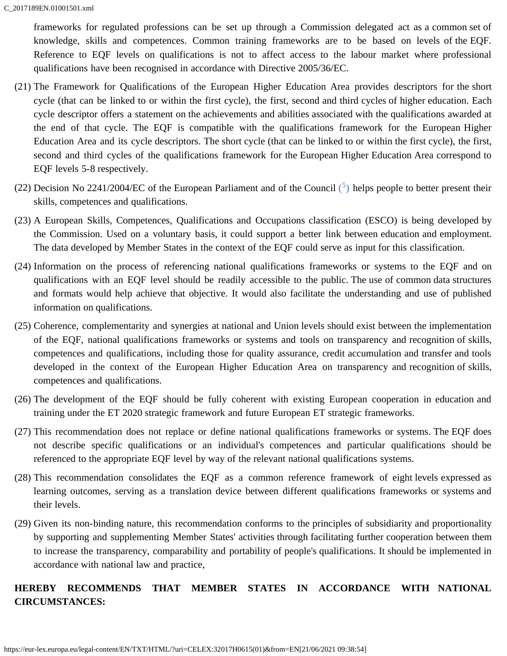frameworks for regulated professions can be set up through a Commission delegated act as a common set of knowledge, skills and competences. Common training frameworks are to be based on levels of the EQF. Reference to EQF levels on qualifications is not to affect access to the labour market where professional qualifications have been recognised in accordance with Directive 2005/36/EC.

- (21) The Framework for Qualifications of the European Higher Education Area provides descriptors for the short cycle (that can be linked to or within the first cycle), the first, second and third cycles of higher education. Each cycle descriptor offers a statement on the achievements and abilities associated with the qualifications awarded at the end of that cycle. The EQF is compatible with the qualifications framework for the European Higher Education Area and its cycle descriptors. The short cycle (that can be linked to or within the first cycle), the first, second and third cycles of the qualifications framework for the European Higher Education Area correspond to EQF levels 5-8 respectively.
- <span id="page-3-0"></span>[\(](#page-5-5)22) Decision No 2241/2004/EC of the European Parliament and of the Council  $(5)$  helps people to better present their skills, competences and qualifications.
- (23) A European Skills, Competences, Qualifications and Occupations classification (ESCO) is being developed by the Commission. Used on a voluntary basis, it could support a better link between education and employment. The data developed by Member States in the context of the EQF could serve as input for this classification.
- (24) Information on the process of referencing national qualifications frameworks or systems to the EQF and on qualifications with an EQF level should be readily accessible to the public. The use of common data structures and formats would help achieve that objective. It would also facilitate the understanding and use of published information on qualifications.
- (25) Coherence, complementarity and synergies at national and Union levels should exist between the implementation of the EQF, national qualifications frameworks or systems and tools on transparency and recognition of skills, competences and qualifications, including those for quality assurance, credit accumulation and transfer and tools developed in the context of the European Higher Education Area on transparency and recognition of skills, competences and qualifications.
- (26) The development of the EQF should be fully coherent with existing European cooperation in education and training under the ET 2020 strategic framework and future European ET strategic frameworks.
- (27) This recommendation does not replace or define national qualifications frameworks or systems. The EQF does not describe specific qualifications or an individual's competences and particular qualifications should be referenced to the appropriate EQF level by way of the relevant national qualifications systems.
- (28) This recommendation consolidates the EQF as a common reference framework of eight levels expressed as learning outcomes, serving as a translation device between different qualifications frameworks or systems and their levels.
- (29) Given its non-binding nature, this recommendation conforms to the principles of subsidiarity and proportionality by supporting and supplementing Member States' activities through facilitating further cooperation between them to increase the transparency, comparability and portability of people's qualifications. It should be implemented in accordance with national law and practice,

# **HEREBY RECOMMENDS THAT MEMBER STATES IN ACCORDANCE WITH NATIONAL CIRCUMSTANCES:**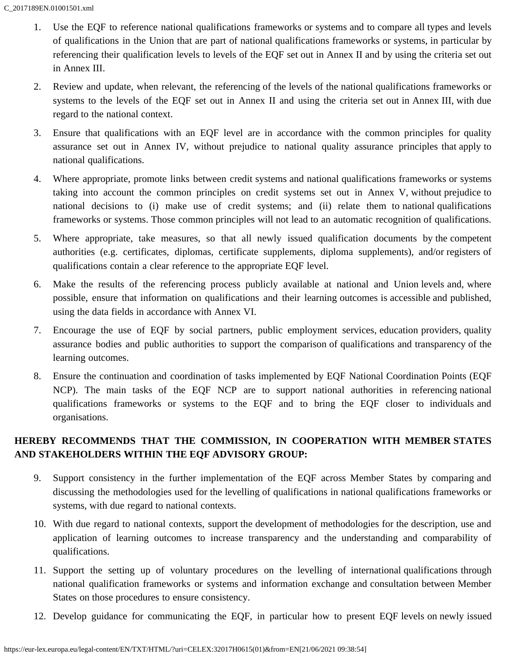- 1. Use the EQF to reference national qualifications frameworks or systems and to compare all types and levels of qualifications in the Union that are part of national qualifications frameworks or systems, in particular by referencing their qualification levels to levels of the EQF set out in Annex II and by using the criteria set out in Annex III.
- 2. Review and update, when relevant, the referencing of the levels of the national qualifications frameworks or systems to the levels of the EQF set out in Annex II and using the criteria set out in Annex III, with due regard to the national context.
- 3. Ensure that qualifications with an EQF level are in accordance with the common principles for quality assurance set out in Annex IV, without prejudice to national quality assurance principles that apply to national qualifications.
- 4. Where appropriate, promote links between credit systems and national qualifications frameworks or systems taking into account the common principles on credit systems set out in Annex V, without prejudice to national decisions to (i) make use of credit systems; and (ii) relate them to national qualifications frameworks or systems. Those common principles will not lead to an automatic recognition of qualifications.
- 5. Where appropriate, take measures, so that all newly issued qualification documents by the competent authorities (e.g. certificates, diplomas, certificate supplements, diploma supplements), and/or registers of qualifications contain a clear reference to the appropriate EQF level.
- 6. Make the results of the referencing process publicly available at national and Union levels and, where possible, ensure that information on qualifications and their learning outcomes is accessible and published, using the data fields in accordance with Annex VI.
- 7. Encourage the use of EQF by social partners, public employment services, education providers, quality assurance bodies and public authorities to support the comparison of qualifications and transparency of the learning outcomes.
- 8. Ensure the continuation and coordination of tasks implemented by EQF National Coordination Points (EQF NCP). The main tasks of the EQF NCP are to support national authorities in referencing national qualifications frameworks or systems to the EQF and to bring the EQF closer to individuals and organisations.

# **HEREBY RECOMMENDS THAT THE COMMISSION, IN COOPERATION WITH MEMBER STATES AND STAKEHOLDERS WITHIN THE EQF ADVISORY GROUP:**

- 9. Support consistency in the further implementation of the EQF across Member States by comparing and discussing the methodologies used for the levelling of qualifications in national qualifications frameworks or systems, with due regard to national contexts.
- 10. With due regard to national contexts, support the development of methodologies for the description, use and application of learning outcomes to increase transparency and the understanding and comparability of qualifications.
- 11. Support the setting up of voluntary procedures on the levelling of international qualifications through national qualification frameworks or systems and information exchange and consultation between Member States on those procedures to ensure consistency.
- 12. Develop guidance for communicating the EQF, in particular how to present EQF levels on newly issued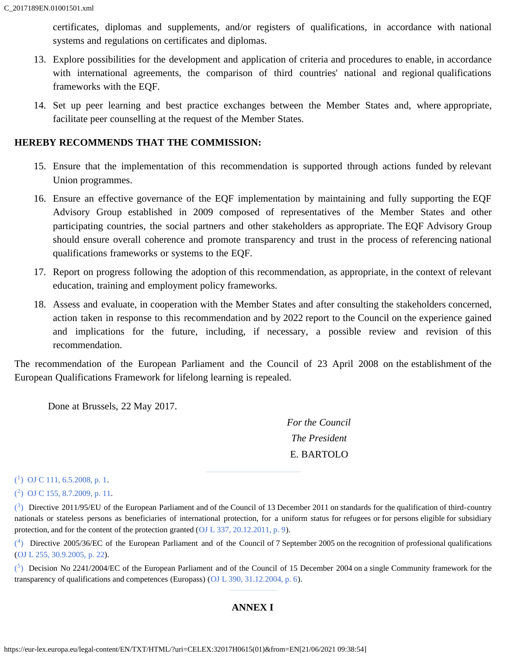certificates, diplomas and supplements, and/or registers of qualifications, in accordance with national systems and regulations on certificates and diplomas.

- 13. Explore possibilities for the development and application of criteria and procedures to enable, in accordance with international agreements, the comparison of third countries' national and regional qualifications frameworks with the EQF.
- 14. Set up peer learning and best practice exchanges between the Member States and, where appropriate, facilitate peer counselling at the request of the Member States.

#### **HEREBY RECOMMENDS THAT THE COMMISSION:**

- 15. Ensure that the implementation of this recommendation is supported through actions funded by relevant Union programmes.
- 16. Ensure an effective governance of the EQF implementation by maintaining and fully supporting the EQF Advisory Group established in 2009 composed of representatives of the Member States and other participating countries, the social partners and other stakeholders as appropriate. The EQF Advisory Group should ensure overall coherence and promote transparency and trust in the process of referencing national qualifications frameworks or systems to the EQF.
- 17. Report on progress following the adoption of this recommendation, as appropriate, in the context of relevant education, training and employment policy frameworks.
- 18. Assess and evaluate, in cooperation with the Member States and after consulting the stakeholders concerned, action taken in response to this recommendation and by 2022 report to the Council on the experience gained and implications for the future, including, if necessary, a possible review and revision of this recommendation.

The recommendation of the European Parliament and the Council of 23 April 2008 on the establishment of the European Qualifications Framework for lifelong learning is repealed.

Done at Brussels, 22 May 2017.

*For the Council The President* E. BARTOLO

<span id="page-5-1"></span> $(1)$  $(1)$  [OJ C 111, 6.5.2008, p. 1](https://eur-lex.europa.eu/legal-content/EN/AUTO/?uri=OJ:C:2008:111:TOC).

<span id="page-5-2"></span>[\(](#page-2-0)[2\)](#page-2-0) [OJ C 155, 8.7.2009, p. 11.](https://eur-lex.europa.eu/legal-content/EN/AUTO/?uri=OJ:C:2009:155:TOC)

<span id="page-5-3"></span> $(3)$  $(3)$  Directive 2011/95/EU of the European Parliament and of the Council of 13 December 2011 on standards for the qualification of third-country nationals or stateless persons as beneficiaries of international protection, for a uniform status for refugees or for persons eligible for subsidiary protection, and for the content of the protection granted ([OJ L 337, 20.12.2011, p. 9](https://eur-lex.europa.eu/legal-content/EN/AUTO/?uri=OJ:L:2011:337:TOC)).

<span id="page-5-4"></span> $(4)$  $(4)$  Directive 2005/36/EC of the European Parliament and of the Council of 7 September 2005 on the recognition of professional qualifications ([OJ L 255, 30.9.2005, p. 22](https://eur-lex.europa.eu/legal-content/EN/AUTO/?uri=OJ:L:2005:255:TOC)).

<span id="page-5-5"></span><span id="page-5-0"></span> $(5)$  $(5)$  Decision No 2241/2004/EC of the European Parliament and of the Council of 15 December 2004 on a single Community framework for the transparency of qualifications and competences (Europass) ([OJ L 390, 31.12.2004, p. 6\)](https://eur-lex.europa.eu/legal-content/EN/AUTO/?uri=OJ:L:2004:390:TOC).

### **ANNEX I**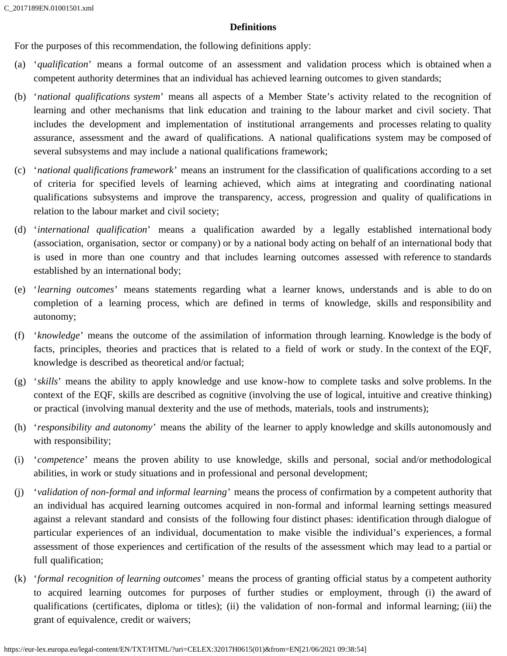### **Definitions**

For the purposes of this recommendation, the following definitions apply:

- (a) '*qualification*' means a formal outcome of an assessment and validation process which is obtained when a competent authority determines that an individual has achieved learning outcomes to given standards;
- (b) '*national qualifications system*' means all aspects of a Member State's activity related to the recognition of learning and other mechanisms that link education and training to the labour market and civil society. That includes the development and implementation of institutional arrangements and processes relating to quality assurance, assessment and the award of qualifications. A national qualifications system may be composed of several subsystems and may include a national qualifications framework;
- (c) '*national qualifications framework*' means an instrument for the classification of qualifications according to a set of criteria for specified levels of learning achieved, which aims at integrating and coordinating national qualifications subsystems and improve the transparency, access, progression and quality of qualifications in relation to the labour market and civil society;
- (d) '*international qualification*' means a qualification awarded by a legally established international body (association, organisation, sector or company) or by a national body acting on behalf of an international body that is used in more than one country and that includes learning outcomes assessed with reference to standards established by an international body;
- (e) '*learning outcomes*' means statements regarding what a learner knows, understands and is able to do on completion of a learning process, which are defined in terms of knowledge, skills and responsibility and autonomy;
- (f) '*knowledge*' means the outcome of the assimilation of information through learning. Knowledge is the body of facts, principles, theories and practices that is related to a field of work or study. In the context of the EQF, knowledge is described as theoretical and/or factual;
- (g) '*skills*' means the ability to apply knowledge and use know-how to complete tasks and solve problems. In the context of the EQF, skills are described as cognitive (involving the use of logical, intuitive and creative thinking) or practical (involving manual dexterity and the use of methods, materials, tools and instruments);
- (h) '*responsibility and autonomy*' means the ability of the learner to apply knowledge and skills autonomously and with responsibility;
- (i) '*competence*' means the proven ability to use knowledge, skills and personal, social and/or methodological abilities, in work or study situations and in professional and personal development;
- (j) '*validation of non-formal and informal learning*' means the process of confirmation by a competent authority that an individual has acquired learning outcomes acquired in non-formal and informal learning settings measured against a relevant standard and consists of the following four distinct phases: identification through dialogue of particular experiences of an individual, documentation to make visible the individual's experiences, a formal assessment of those experiences and certification of the results of the assessment which may lead to a partial or full qualification;
- (k) '*formal recognition of learning outcomes*' means the process of granting official status by a competent authority to acquired learning outcomes for purposes of further studies or employment, through (i) the award of qualifications (certificates, diploma or titles); (ii) the validation of non-formal and informal learning; (iii) the grant of equivalence, credit or waivers;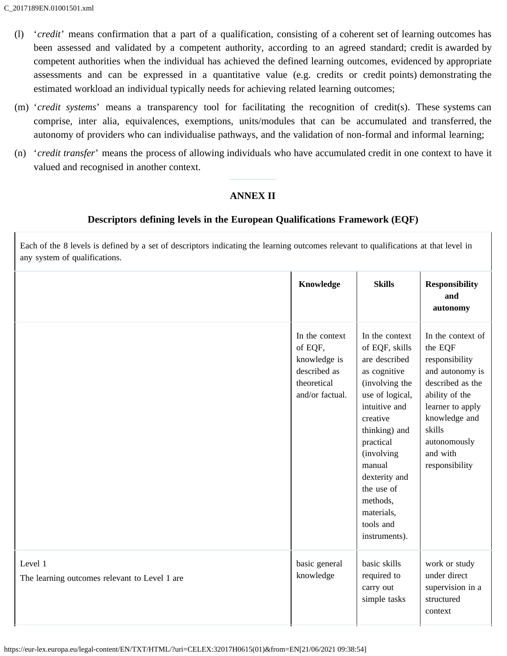- (l) '*credit*' means confirmation that a part of a qualification, consisting of a coherent set of learning outcomes has been assessed and validated by a competent authority, according to an agreed standard; credit is awarded by competent authorities when the individual has achieved the defined learning outcomes, evidenced by appropriate assessments and can be expressed in a quantitative value (e.g. credits or credit points) demonstrating the estimated workload an individual typically needs for achieving related learning outcomes;
- (m) '*credit systems*' means a transparency tool for facilitating the recognition of credit(s). These systems can comprise, inter alia, equivalences, exemptions, units/modules that can be accumulated and transferred, the autonomy of providers who can individualise pathways, and the validation of non-formal and informal learning;
- <span id="page-7-0"></span>(n) '*credit transfer*' means the process of allowing individuals who have accumulated credit in one context to have it valued and recognised in another context.

### **ANNEX II**

### **Descriptors defining levels in the European Qualifications Framework (EQF)**

Each of the 8 levels is defined by a set of descriptors indicating the learning outcomes relevant to qualifications at that level in any system of qualifications.

|                                                          | Knowledge                                                                                   | <b>Skills</b>                                                                                                                                                                                                                                                                            | <b>Responsibility</b><br>and<br>autonomy                                                                                                                                                             |
|----------------------------------------------------------|---------------------------------------------------------------------------------------------|------------------------------------------------------------------------------------------------------------------------------------------------------------------------------------------------------------------------------------------------------------------------------------------|------------------------------------------------------------------------------------------------------------------------------------------------------------------------------------------------------|
|                                                          | In the context<br>of EQF,<br>knowledge is<br>described as<br>theoretical<br>and/or factual. | In the context<br>of EQF, skills<br>are described<br>as cognitive<br>(involving the<br>use of logical,<br>intuitive and<br>creative<br>thinking) and<br>practical<br><i>(involving)</i><br>manual<br>dexterity and<br>the use of<br>methods,<br>materials,<br>tools and<br>instruments). | In the context of<br>the EQF<br>responsibility<br>and autonomy is<br>described as the<br>ability of the<br>learner to apply<br>knowledge and<br>skills<br>autonomously<br>and with<br>responsibility |
| Level 1<br>The learning outcomes relevant to Level 1 are | basic general<br>knowledge                                                                  | basic skills<br>required to<br>carry out<br>simple tasks                                                                                                                                                                                                                                 | work or study<br>under direct<br>supervision in a<br>structured<br>context                                                                                                                           |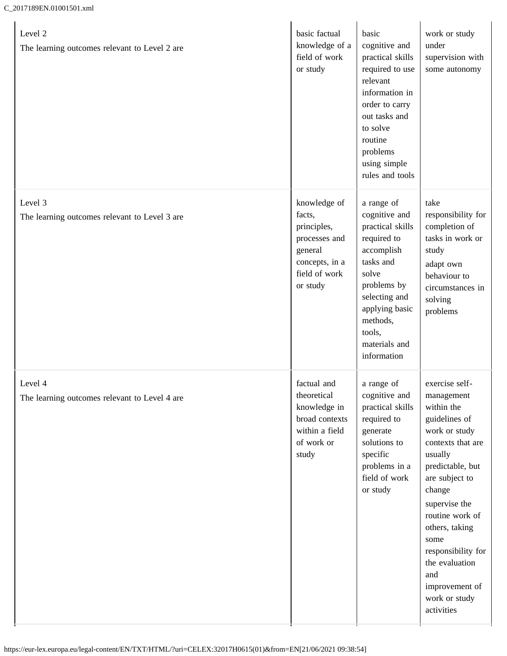### C\_2017189EN.01001501.xml

| Level 2<br>The learning outcomes relevant to Level 2 are | basic factual<br>knowledge of a<br>field of work<br>or study                                                     | basic<br>cognitive and<br>practical skills<br>required to use<br>relevant<br>information in<br>order to carry<br>out tasks and<br>to solve<br>routine<br>problems<br>using simple<br>rules and tools       | work or study<br>under<br>supervision with<br>some autonomy                                                                                                                                                                                                                                                                |
|----------------------------------------------------------|------------------------------------------------------------------------------------------------------------------|------------------------------------------------------------------------------------------------------------------------------------------------------------------------------------------------------------|----------------------------------------------------------------------------------------------------------------------------------------------------------------------------------------------------------------------------------------------------------------------------------------------------------------------------|
| Level 3<br>The learning outcomes relevant to Level 3 are | knowledge of<br>facts,<br>principles,<br>processes and<br>general<br>concepts, in a<br>field of work<br>or study | a range of<br>cognitive and<br>practical skills<br>required to<br>accomplish<br>tasks and<br>solve<br>problems by<br>selecting and<br>applying basic<br>methods,<br>tools,<br>materials and<br>information | take<br>responsibility for<br>completion of<br>tasks in work or<br>study<br>adapt own<br>behaviour to<br>circumstances in<br>solving<br>problems                                                                                                                                                                           |
| Level 4<br>The learning outcomes relevant to Level 4 are | factual and<br>theoretical<br>knowledge in<br>broad contexts<br>within a field<br>of work or<br>study            | a range of<br>cognitive and<br>practical skills<br>required to<br>generate<br>solutions to<br>specific<br>problems in a<br>field of work<br>or study                                                       | exercise self-<br>management<br>within the<br>guidelines of<br>work or study<br>contexts that are<br>usually<br>predictable, but<br>are subject to<br>change<br>supervise the<br>routine work of<br>others, taking<br>some<br>responsibility for<br>the evaluation<br>and<br>improvement of<br>work or study<br>activities |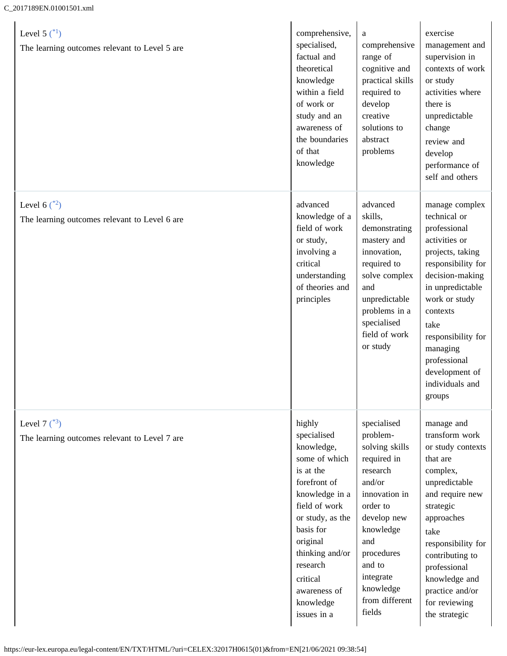<span id="page-9-2"></span><span id="page-9-1"></span><span id="page-9-0"></span>

| Level 5 $({}^{*1})$<br>The learning outcomes relevant to Level 5 are | comprehensive,<br>specialised,<br>factual and<br>theoretical<br>knowledge<br>within a field<br>of work or<br>study and an<br>awareness of<br>the boundaries<br>of that<br>knowledge                                                                      | a<br>comprehensive<br>range of<br>cognitive and<br>practical skills<br>required to<br>develop<br>creative<br>solutions to<br>abstract<br>problems                                                                            | exercise<br>management and<br>supervision in<br>contexts of work<br>or study<br>activities where<br>there is<br>unpredictable<br>change<br>review and<br>develop<br>performance of<br>self and others                                                                                  |
|----------------------------------------------------------------------|----------------------------------------------------------------------------------------------------------------------------------------------------------------------------------------------------------------------------------------------------------|------------------------------------------------------------------------------------------------------------------------------------------------------------------------------------------------------------------------------|----------------------------------------------------------------------------------------------------------------------------------------------------------------------------------------------------------------------------------------------------------------------------------------|
| Level 6 $({}^{*2})$<br>The learning outcomes relevant to Level 6 are | advanced<br>knowledge of a<br>field of work<br>or study,<br>involving a<br>critical<br>understanding<br>of theories and<br>principles                                                                                                                    | advanced<br>skills,<br>demonstrating<br>mastery and<br>innovation,<br>required to<br>solve complex<br>and<br>unpredictable<br>problems in a<br>specialised<br>field of work<br>or study                                      | manage complex<br>technical or<br>professional<br>activities or<br>projects, taking<br>responsibility for<br>decision-making<br>in unpredictable<br>work or study<br>contexts<br>take<br>responsibility for<br>managing<br>professional<br>development of<br>individuals and<br>groups |
| Level 7 $({}^{*3})$<br>The learning outcomes relevant to Level 7 are | highly<br>specialised<br>knowledge,<br>some of which<br>is at the<br>forefront of<br>knowledge in a<br>field of work<br>or study, as the<br>basis for<br>original<br>thinking and/or<br>research<br>critical<br>awareness of<br>knowledge<br>issues in a | specialised<br>problem-<br>solving skills<br>required in<br>research<br>and/or<br>innovation in<br>order to<br>develop new<br>knowledge<br>and<br>procedures<br>and to<br>integrate<br>knowledge<br>from different<br>fields | manage and<br>transform work<br>or study contexts<br>that are<br>complex,<br>unpredictable<br>and require new<br>strategic<br>approaches<br>take<br>responsibility for<br>contributing to<br>professional<br>knowledge and<br>practice and/or<br>for reviewing<br>the strategic        |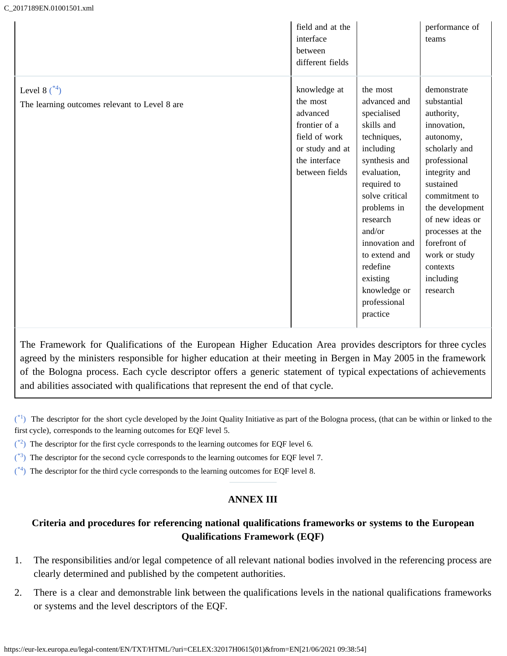<span id="page-10-5"></span>

|                                                                 | field and at the<br>interface<br>between<br>different fields                                                                 |                                                                                                                                                                                                                                                                                                | performance of<br>teams                                                                                                                                                                                                                                                              |
|-----------------------------------------------------------------|------------------------------------------------------------------------------------------------------------------------------|------------------------------------------------------------------------------------------------------------------------------------------------------------------------------------------------------------------------------------------------------------------------------------------------|--------------------------------------------------------------------------------------------------------------------------------------------------------------------------------------------------------------------------------------------------------------------------------------|
| Level 8 $*4$ )<br>The learning outcomes relevant to Level 8 are | knowledge at<br>the most<br>advanced<br>frontier of a<br>field of work<br>or study and at<br>the interface<br>between fields | the most<br>advanced and<br>specialised<br>skills and<br>techniques,<br>including<br>synthesis and<br>evaluation,<br>required to<br>solve critical<br>problems in<br>research<br>and/or<br>innovation and<br>to extend and<br>redefine<br>existing<br>knowledge or<br>professional<br>practice | demonstrate<br>substantial<br>authority,<br>innovation,<br>autonomy,<br>scholarly and<br>professional<br>integrity and<br>sustained<br>commitment to<br>the development<br>of new ideas or<br>processes at the<br>forefront of<br>work or study<br>contexts<br>including<br>research |

The Framework for Qualifications of the European Higher Education Area provides descriptors for three cycles agreed by the ministers responsible for higher education at their meeting in Bergen in May 2005 in the framework of the Bologna process. Each cycle descriptor offers a generic statement of typical expectations of achievements and abilities associated with qualifications that represent the end of that cycle.

<span id="page-10-1"></span> $\binom{4}{1}$  The descriptor for the short cycle developed by the Joint Quality Initiative as part of the Bologna process, [\(](#page-9-0)that can be within or linked to the first cycle), corresponds to the learning outcomes for EQF level 5.

- <span id="page-10-2"></span> $($ <sup>\*2</sup>) The descriptor for the first cycle corresponds to the learning outcomes for EQF level 6.
- <span id="page-10-3"></span> $(*)$  $(*)$ <sup>3</sup>) The descriptor for the second cycle corresponds to the learning outcomes for EQF level 7.
- <span id="page-10-4"></span><span id="page-10-0"></span> $(*)$  $(*)$ <sup>4</sup>) The descriptor for the third cycle corresponds to the learning outcomes for EQF level 8.

### **ANNEX III**

## **Criteria and procedures for referencing national qualifications frameworks or systems to the European Qualifications Framework (EQF)**

- 1. The responsibilities and/or legal competence of all relevant national bodies involved in the referencing process are clearly determined and published by the competent authorities.
- 2. There is a clear and demonstrable link between the qualifications levels in the national qualifications frameworks or systems and the level descriptors of the EQF.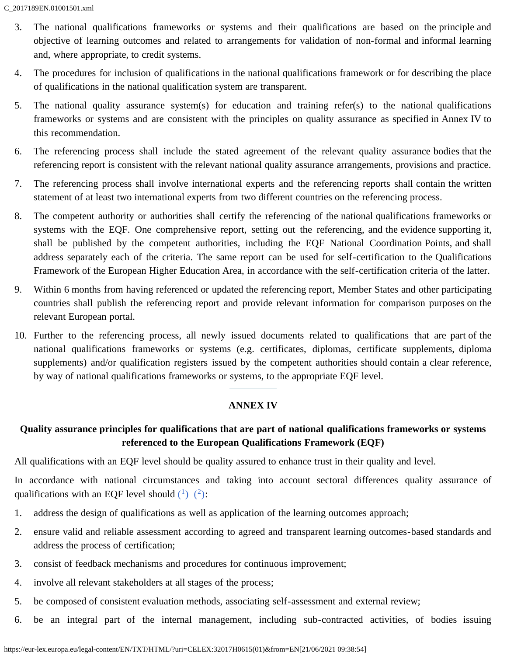- 3. The national qualifications frameworks or systems and their qualifications are based on the principle and objective of learning outcomes and related to arrangements for validation of non-formal and informal learning and, where appropriate, to credit systems.
- 4. The procedures for inclusion of qualifications in the national qualifications framework or for describing the place of qualifications in the national qualification system are transparent.
- 5. The national quality assurance system(s) for education and training refer(s) to the national qualifications frameworks or systems and are consistent with the principles on quality assurance as specified in Annex IV to this recommendation.
- 6. The referencing process shall include the stated agreement of the relevant quality assurance bodies that the referencing report is consistent with the relevant national quality assurance arrangements, provisions and practice.
- 7. The referencing process shall involve international experts and the referencing reports shall contain the written statement of at least two international experts from two different countries on the referencing process.
- 8. The competent authority or authorities shall certify the referencing of the national qualifications frameworks or systems with the EQF. One comprehensive report, setting out the referencing, and the evidence supporting it, shall be published by the competent authorities, including the EQF National Coordination Points, and shall address separately each of the criteria. The same report can be used for self-certification to the Qualifications Framework of the European Higher Education Area, in accordance with the self-certification criteria of the latter.
- 9. Within 6 months from having referenced or updated the referencing report, Member States and other participating countries shall publish the referencing report and provide relevant information for comparison purposes on the relevant European portal.
- 10. Further to the referencing process, all newly issued documents related to qualifications that are part of the national qualifications frameworks or systems (e.g. certificates, diplomas, certificate supplements, diploma supplements) and/or qualification registers issued by the competent authorities should contain a clear reference, by way of national qualifications frameworks or systems, to the appropriate EQF level.

#### **ANNEX IV**

### <span id="page-11-0"></span>**Quality assurance principles for qualifications that are part of national qualifications frameworks or systems referenced to the European Qualifications Framework (EQF)**

All qualifications with an EQF level should be quality assured to enhance trust in their quality and level.

<span id="page-11-1"></span>In accordance with national circumstances and taking into account sectoral differences quality assurance of qualifications with an EQF level should  $\binom{1}{2}$ .

- 1. address the design of qualifications as well as application of the learning outcomes approach;
- 2. ensure valid and reliable assessment according to agreed and transparent learning outcomes-based standards and address the process of certification;
- 3. consist of feedback mechanisms and procedures for continuous improvement;
- 4. involve all relevant stakeholders at all stages of the process;
- 5. be composed of consistent evaluation methods, associating self-assessment and external review;
- 6. be an integral part of the internal management, including sub-contracted activities, of bodies issuing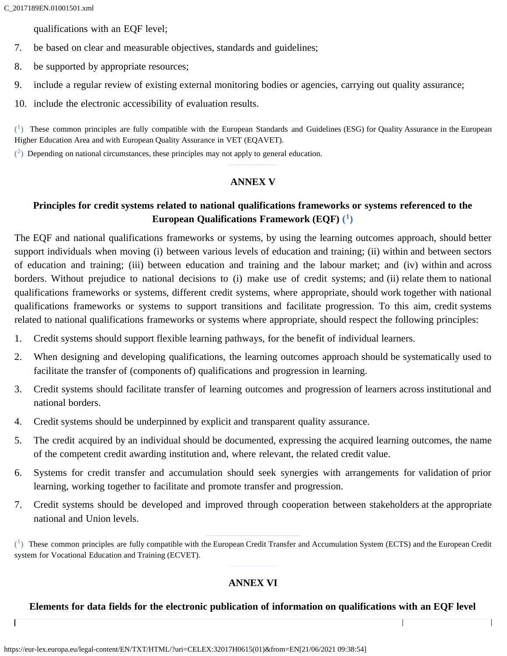$\mathsf{I}$ 

qualifications with an EQF level;

- 7. be based on clear and measurable objectives, standards and guidelines;
- 8. be supported by appropriate resources;
- 9. include a regular review of existing external monitoring bodies or agencies, carrying out quality assurance;
- 10. include the electronic accessibility of evaluation results.

<span id="page-12-2"></span> $(1)$  $(1)$  $(1)$  These common principles are fully compatible with the European Standards and Guidelines (ESG[\)](#page-11-1) for Quality Assurance in the European Higher Education Area and with European Quality Assurance in VET (EQAVET).

<span id="page-12-3"></span><span id="page-12-0"></span> $(2)$  $(2)$  Depending on national circumstances, these principles may not apply to general education.

#### **ANNEX V**

# **Principles for credit systems related to national qualifications frameworks or systems referenced to the European Qualifications Framework (EQF) [\(](#page-12-4)[1\)](#page-12-4)**

<span id="page-12-5"></span>The EQF and national qualifications frameworks or systems, by using the learning outcomes approach, should better support individuals when moving (i) between various levels of education and training; (ii) within and between sectors of education and training; (iii) between education and training and the labour market; and (iv) within and across borders. Without prejudice to national decisions to (i) make use of credit systems; and (ii) relate them to national qualifications frameworks or systems, different credit systems, where appropriate, should work together with national qualifications frameworks or systems to support transitions and facilitate progression. To this aim, credit systems related to national qualifications frameworks or systems where appropriate, should respect the following principles:

- 1. Credit systems should support flexible learning pathways, for the benefit of individual learners.
- 2. When designing and developing qualifications, the learning outcomes approach should be systematically used to facilitate the transfer of (components of) qualifications and progression in learning.
- 3. Credit systems should facilitate transfer of learning outcomes and progression of learners across institutional and national borders.
- 4. Credit systems should be underpinned by explicit and transparent quality assurance.
- 5. The credit acquired by an individual should be documented, expressing the acquired learning outcomes, the name of the competent credit awarding institution and, where relevant, the related credit value.
- 6. Systems for credit transfer and accumulation should seek synergies with arrangements for validation of prior learning, working together to facilitate and promote transfer and progression.
- 7. Credit systems should be developed and improved through cooperation between stakeholders at the appropriate national and Union levels.

<span id="page-12-4"></span> $\binom{1}{k}$  These common principles are fully compatible with the European Credit Transfer and Accumulation System [\(](#page-12-5)ECTS) and the European Credit system for Vocational Education and Training (ECVET).

# **ANNEX VI**

### <span id="page-12-1"></span>**Elements for data fields for the electronic publication of information on qualifications with an EQF level**

 $\overline{\mathsf{I}}$ 

Ī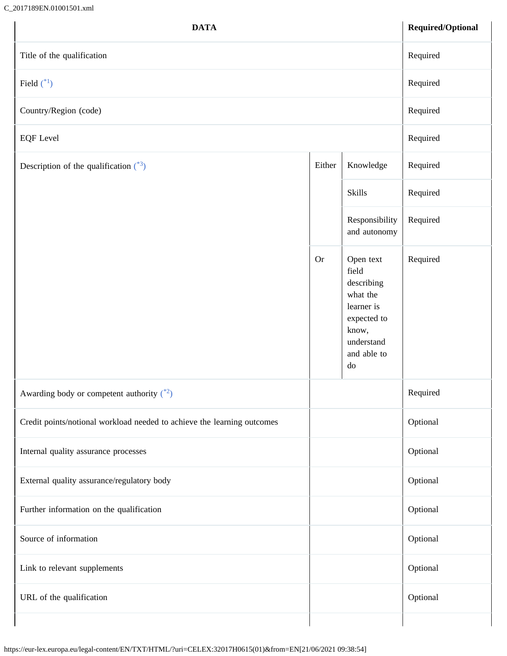### C\_2017189EN.01001501.xml

<span id="page-13-2"></span><span id="page-13-1"></span><span id="page-13-0"></span>

| <b>DATA</b>                                                             |                     |                                                                                                                       | Required/Optional |
|-------------------------------------------------------------------------|---------------------|-----------------------------------------------------------------------------------------------------------------------|-------------------|
| Title of the qualification                                              | Required            |                                                                                                                       |                   |
| Field $(*)$                                                             | Required            |                                                                                                                       |                   |
| Country/Region (code)                                                   |                     |                                                                                                                       | Required          |
| <b>EQF</b> Level                                                        | Required            |                                                                                                                       |                   |
| Description of the qualification $(^{*3})$                              | Knowledge<br>Either |                                                                                                                       |                   |
|                                                                         |                     | <b>Skills</b>                                                                                                         | Required          |
|                                                                         |                     | Responsibility<br>and autonomy                                                                                        | Required          |
|                                                                         | <b>Or</b>           | Open text<br>field<br>describing<br>what the<br>learner is<br>expected to<br>know,<br>understand<br>and able to<br>do | Required          |
| Awarding body or competent authority $\binom{*2}{ }$                    |                     |                                                                                                                       | Required          |
| Credit points/notional workload needed to achieve the learning outcomes |                     |                                                                                                                       | Optional          |
| Internal quality assurance processes                                    |                     |                                                                                                                       | Optional          |
| External quality assurance/regulatory body                              |                     |                                                                                                                       | Optional          |
| Further information on the qualification                                |                     |                                                                                                                       | Optional          |
| Source of information                                                   |                     |                                                                                                                       | Optional          |
| Link to relevant supplements                                            |                     |                                                                                                                       | Optional          |
| URL of the qualification                                                |                     |                                                                                                                       | Optional          |
|                                                                         |                     |                                                                                                                       |                   |